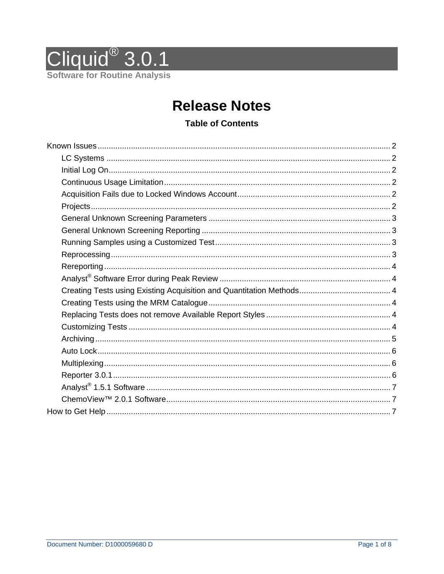

# **Release Notes**

**Table of Contents**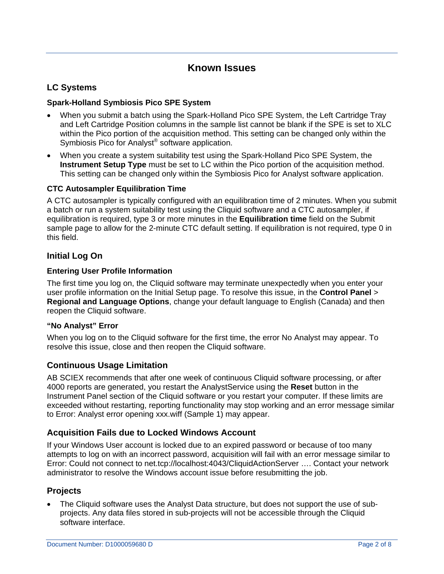# **Known Issues**

# <span id="page-1-0"></span>**LC Systems**

#### **Spark-Holland Symbiosis Pico SPE System**

- When you submit a batch using the Spark-Holland Pico SPE System, the Left Cartridge Tray and Left Cartridge Position columns in the sample list cannot be blank if the SPE is set to XLC within the Pico portion of the acquisition method. This setting can be changed only within the Symbiosis Pico for Analyst® software application.
- When you create a system suitability test using the Spark-Holland Pico SPE System, the **Instrument Setup Type** must be set to LC within the Pico portion of the acquisition method. This setting can be changed only within the Symbiosis Pico for Analyst software application.

#### **CTC Autosampler Equilibration Time**

A CTC autosampler is typically configured with an equilibration time of 2 minutes. When you submit a batch or run a system suitability test using the Cliquid software and a CTC autosampler, if equilibration is required, type 3 or more minutes in the **Equilibration time** field on the Submit sample page to allow for the 2-minute CTC default setting. If equilibration is not required, type 0 in this field.

# **Initial Log On**

#### **Entering User Profile Information**

The first time you log on, the Cliquid software may terminate unexpectedly when you enter your user profile information on the Initial Setup page. To resolve this issue, in the **Control Panel** > **Regional and Language Options**, change your default language to English (Canada) and then reopen the Cliquid software.

#### **"No Analyst" Error**

When you log on to the Cliquid software for the first time, the error No Analyst may appear. To resolve this issue, close and then reopen the Cliquid software.

#### **Continuous Usage Limitation**

AB SCIEX recommends that after one week of continuous Cliquid software processing, or after 4000 reports are generated, you restart the AnalystService using the **Reset** button in the Instrument Panel section of the Cliquid software or you restart your computer. If these limits are exceeded without restarting, reporting functionality may stop working and an error message similar to Error: Analyst error opening xxx.wiff (Sample 1) may appear.

#### **Acquisition Fails due to Locked Windows Account**

If your Windows User account is locked due to an expired password or because of too many attempts to log on with an incorrect password, acquisition will fail with an error message similar to Error: Could not connect to net.tcp://localhost:4043/CliquidActionServer …. Contact your network administrator to resolve the Windows account issue before resubmitting the job.

#### **Projects**

• The Cliquid software uses the Analyst Data structure, but does not support the use of subprojects. Any data files stored in sub-projects will not be accessible through the Cliquid software interface.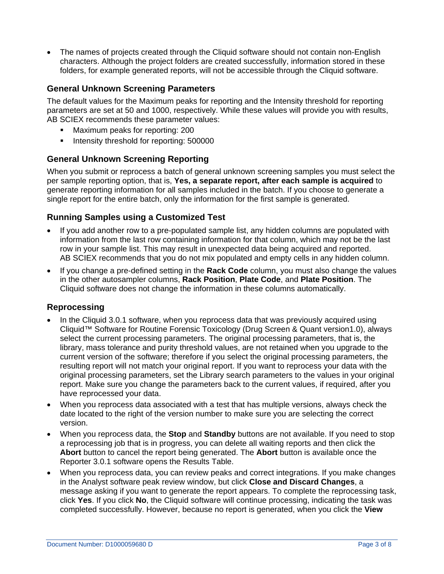<span id="page-2-0"></span>• The names of projects created through the Cliquid software should not contain non-English characters. Although the project folders are created successfully, information stored in these folders, for example generated reports, will not be accessible through the Cliquid software.

# **General Unknown Screening Parameters**

The default values for the Maximum peaks for reporting and the Intensity threshold for reporting parameters are set at 50 and 1000, respectively. While these values will provide you with results, AB SCIEX recommends these parameter values:

- **Maximum peaks for reporting: 200**
- Intensity threshold for reporting: 500000

#### **General Unknown Screening Reporting**

When you submit or reprocess a batch of general unknown screening samples you must select the per sample reporting option, that is, **Yes, a separate report, after each sample is acquired** to generate reporting information for all samples included in the batch. If you choose to generate a single report for the entire batch, only the information for the first sample is generated.

# **Running Samples using a Customized Test**

- If you add another row to a pre-populated sample list, any hidden columns are populated with information from the last row containing information for that column, which may not be the last row in your sample list. This may result in unexpected data being acquired and reported. AB SCIEX recommends that you do not mix populated and empty cells in any hidden column.
- If you change a pre-defined setting in the **Rack Code** column, you must also change the values in the other autosampler columns, **Rack Position**, **Plate Code**, and **Plate Position**. The Cliquid software does not change the information in these columns automatically.

#### **Reprocessing**

- In the Cliquid 3.0.1 software, when you reprocess data that was previously acquired using Cliquid™ Software for Routine Forensic Toxicology (Drug Screen & Quant version1.0), always select the current processing parameters. The original processing parameters, that is, the library, mass tolerance and purity threshold values, are not retained when you upgrade to the current version of the software; therefore if you select the original processing parameters, the resulting report will not match your original report. If you want to reprocess your data with the original processing parameters, set the Library search parameters to the values in your original report. Make sure you change the parameters back to the current values, if required, after you have reprocessed your data.
- When you reprocess data associated with a test that has multiple versions, always check the date located to the right of the version number to make sure you are selecting the correct version.
- When you reprocess data, the **Stop** and **Standby** buttons are not available. If you need to stop a reprocessing job that is in progress, you can delete all waiting reports and then click the **Abort** button to cancel the report being generated. The **Abort** button is available once the Reporter 3.0.1 software opens the Results Table.
- When you reprocess data, you can review peaks and correct integrations. If you make changes in the Analyst software peak review window, but click **Close and Discard Changes**, a message asking if you want to generate the report appears. To complete the reprocessing task, click **Yes**. If you click **No**, the Cliquid software will continue processing, indicating the task was completed successfully. However, because no report is generated, when you click the **View**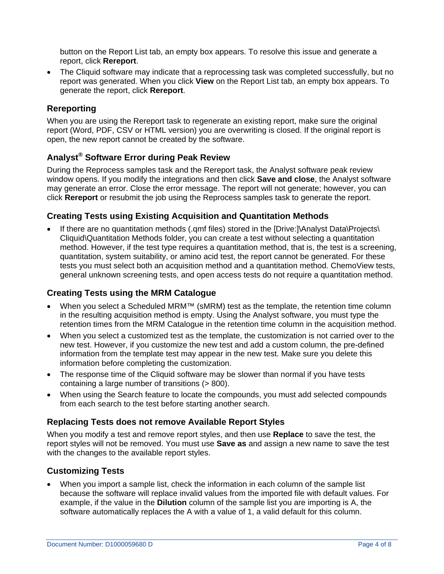<span id="page-3-0"></span>button on the Report List tab, an empty box appears. To resolve this issue and generate a report, click **Rereport**.

• The Cliquid software may indicate that a reprocessing task was completed successfully, but no report was generated. When you click **View** on the Report List tab, an empty box appears. To generate the report, click **Rereport**.

#### **Rereporting**

When you are using the Rereport task to regenerate an existing report, make sure the original report (Word, PDF, CSV or HTML version) you are overwriting is closed. If the original report is open, the new report cannot be created by the software.

# **Analyst® Software Error during Peak Review**

During the Reprocess samples task and the Rereport task, the Analyst software peak review window opens. If you modify the integrations and then click **Save and close**, the Analyst software may generate an error. Close the error message. The report will not generate; however, you can click **Rereport** or resubmit the job using the Reprocess samples task to generate the report.

#### **Creating Tests using Existing Acquisition and Quantitation Methods**

If there are no quantitation methods (.gmf files) stored in the [Drive:]\Analyst Data\Projects\ Cliquid\Quantitation Methods folder, you can create a test without selecting a quantitation method. However, if the test type requires a quantitation method, that is, the test is a screening, quantitation, system suitability, or amino acid test, the report cannot be generated. For these tests you must select both an acquisition method and a quantitation method. ChemoView tests, general unknown screening tests, and open access tests do not require a quantitation method.

#### **Creating Tests using the MRM Catalogue**

- When you select a Scheduled MRM™ (sMRM) test as the template, the retention time column in the resulting acquisition method is empty. Using the Analyst software, you must type the retention times from the MRM Catalogue in the retention time column in the acquisition method.
- When you select a customized test as the template, the customization is not carried over to the new test. However, if you customize the new test and add a custom column, the pre-defined information from the template test may appear in the new test. Make sure you delete this information before completing the customization.
- The response time of the Cliquid software may be slower than normal if you have tests containing a large number of transitions (> 800).
- When using the Search feature to locate the compounds, you must add selected compounds from each search to the test before starting another search.

#### **Replacing Tests does not remove Available Report Styles**

When you modify a test and remove report styles, and then use **Replace** to save the test, the report styles will not be removed. You must use **Save as** and assign a new name to save the test with the changes to the available report styles.

#### **Customizing Tests**

• When you import a sample list, check the information in each column of the sample list because the software will replace invalid values from the imported file with default values. For example, if the value in the **Dilution** column of the sample list you are importing is A, the software automatically replaces the A with a value of 1, a valid default for this column.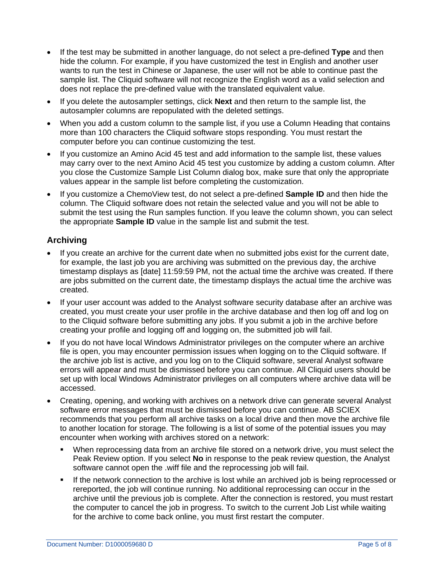- <span id="page-4-0"></span>• If the test may be submitted in another language, do not select a pre-defined **Type** and then hide the column. For example, if you have customized the test in English and another user wants to run the test in Chinese or Japanese, the user will not be able to continue past the sample list. The Cliquid software will not recognize the English word as a valid selection and does not replace the pre-defined value with the translated equivalent value.
- If you delete the autosampler settings, click **Next** and then return to the sample list, the autosampler columns are repopulated with the deleted settings.
- When you add a custom column to the sample list, if you use a Column Heading that contains more than 100 characters the Cliquid software stops responding. You must restart the computer before you can continue customizing the test.
- If you customize an Amino Acid 45 test and add information to the sample list, these values may carry over to the next Amino Acid 45 test you customize by adding a custom column. After you close the Customize Sample List Column dialog box, make sure that only the appropriate values appear in the sample list before completing the customization.
- If you customize a ChemoView test, do not select a pre-defined **Sample ID** and then hide the column. The Cliquid software does not retain the selected value and you will not be able to submit the test using the Run samples function. If you leave the column shown, you can select the appropriate **Sample ID** value in the sample list and submit the test.

# **Archiving**

- If you create an archive for the current date when no submitted jobs exist for the current date, for example, the last job you are archiving was submitted on the previous day, the archive timestamp displays as [date] 11:59:59 PM, not the actual time the archive was created. If there are jobs submitted on the current date, the timestamp displays the actual time the archive was created.
- If your user account was added to the Analyst software security database after an archive was created, you must create your user profile in the archive database and then log off and log on to the Cliquid software before submitting any jobs. If you submit a job in the archive before creating your profile and logging off and logging on, the submitted job will fail.
- If you do not have local Windows Administrator privileges on the computer where an archive file is open, you may encounter permission issues when logging on to the Cliquid software. If the archive job list is active, and you log on to the Cliquid software, several Analyst software errors will appear and must be dismissed before you can continue. All Cliquid users should be set up with local Windows Administrator privileges on all computers where archive data will be accessed.
- Creating, opening, and working with archives on a network drive can generate several Analyst software error messages that must be dismissed before you can continue. AB SCIEX recommends that you perform all archive tasks on a local drive and then move the archive file to another location for storage. The following is a list of some of the potential issues you may encounter when working with archives stored on a network:
	- When reprocessing data from an archive file stored on a network drive, you must select the Peak Review option. If you select **No** in response to the peak review question, the Analyst software cannot open the .wiff file and the reprocessing job will fail.
	- If the network connection to the archive is lost while an archived job is being reprocessed or rereported, the job will continue running. No additional reprocessing can occur in the archive until the previous job is complete. After the connection is restored, you must restart the computer to cancel the job in progress. To switch to the current Job List while waiting for the archive to come back online, you must first restart the computer.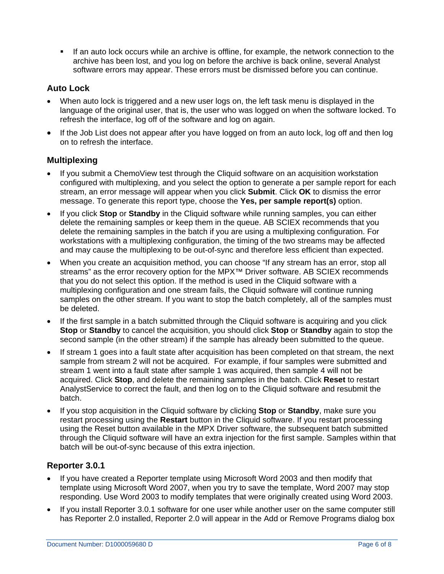<span id="page-5-0"></span> If an auto lock occurs while an archive is offline, for example, the network connection to the archive has been lost, and you log on before the archive is back online, several Analyst software errors may appear. These errors must be dismissed before you can continue.

### **Auto Lock**

- When auto lock is triggered and a new user logs on, the left task menu is displayed in the language of the original user, that is, the user who was logged on when the software locked. To refresh the interface, log off of the software and log on again.
- If the Job List does not appear after you have logged on from an auto lock, log off and then log on to refresh the interface.

# **Multiplexing**

- If you submit a ChemoView test through the Cliquid software on an acquisition workstation configured with multiplexing, and you select the option to generate a per sample report for each stream, an error message will appear when you click **Submit**. Click **OK** to dismiss the error message. To generate this report type, choose the **Yes, per sample report(s)** option.
- If you click **Stop** or **Standby** in the Cliquid software while running samples, you can either delete the remaining samples or keep them in the queue. AB SCIEX recommends that you delete the remaining samples in the batch if you are using a multiplexing configuration. For workstations with a multiplexing configuration, the timing of the two streams may be affected and may cause the multiplexing to be out-of-sync and therefore less efficient than expected.
- When you create an acquisition method, you can choose "If any stream has an error, stop all streams" as the error recovery option for the MPX™ Driver software. AB SCIEX recommends that you do not select this option. If the method is used in the Cliquid software with a multiplexing configuration and one stream fails, the Cliquid software will continue running samples on the other stream. If you want to stop the batch completely, all of the samples must be deleted.
- If the first sample in a batch submitted through the Cliquid software is acquiring and you click **Stop** or **Standby** to cancel the acquisition, you should click **Stop** or **Standby** again to stop the second sample (in the other stream) if the sample has already been submitted to the queue.
- If stream 1 goes into a fault state after acquisition has been completed on that stream, the next sample from stream 2 will not be acquired. For example, if four samples were submitted and stream 1 went into a fault state after sample 1 was acquired, then sample 4 will not be acquired. Click **Stop**, and delete the remaining samples in the batch. Click **Reset** to restart AnalystService to correct the fault, and then log on to the Cliquid software and resubmit the batch.
- If you stop acquisition in the Cliquid software by clicking **Stop** or **Standby**, make sure you restart processing using the **Restart** button in the Cliquid software. If you restart processing using the Reset button available in the MPX Driver software, the subsequent batch submitted through the Cliquid software will have an extra injection for the first sample. Samples within that batch will be out-of-sync because of this extra injection.

# **Reporter 3.0.1**

- If you have created a Reporter template using Microsoft Word 2003 and then modify that template using Microsoft Word 2007, when you try to save the template, Word 2007 may stop responding. Use Word 2003 to modify templates that were originally created using Word 2003.
- If you install Reporter 3.0.1 software for one user while another user on the same computer still has Reporter 2.0 installed, Reporter 2.0 will appear in the Add or Remove Programs dialog box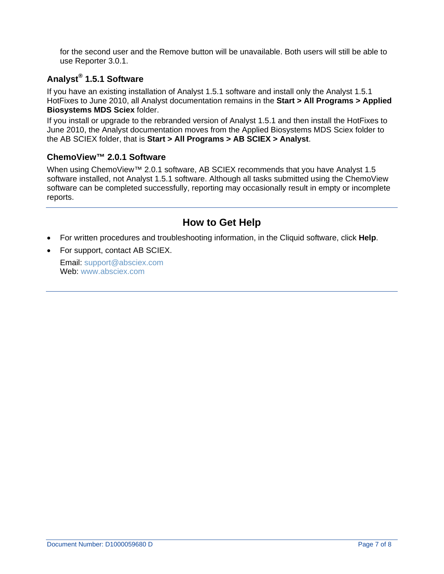<span id="page-6-0"></span>for the second user and the Remove button will be unavailable. Both users will still be able to use Reporter 3.0.1.

# **Analyst® 1.5.1 Software**

If you have an existing installation of Analyst 1.5.1 software and install only the Analyst 1.5.1 HotFixes to June 2010, all Analyst documentation remains in the **Start > All Programs > Applied Biosystems MDS Sciex** folder.

If you install or upgrade to the rebranded version of Analyst 1.5.1 and then install the HotFixes to June 2010, the Analyst documentation moves from the Applied Biosystems MDS Sciex folder to the AB SCIEX folder, that is **Start > All Programs > AB SCIEX > Analyst**.

# **ChemoView™ 2.0.1 Software**

When using ChemoView<sup>™</sup> 2.0.1 software, AB SCIEX recommends that you have Analyst 1.5 software installed, not Analyst 1.5.1 software. Although all tasks submitted using the ChemoView software can be completed successfully, reporting may occasionally result in empty or incomplete reports.

# **How to Get Help**

- For written procedures and troubleshooting information, in the Cliquid software, click **Help**.
- For support, contact AB SCIEX.

 Email: [support@absciex.com](mailto:support@absciex.com) Web: [www.absciex.com](http://www.absciex.com/)